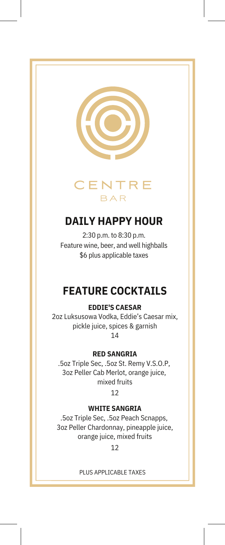



# **DAILY HAPPY HOUR**

2:30 p.m. to 8:30 p.m. Feature wine, beer, and well highballs \$6 plus applicable taxes

# **FEATURE COCKTAILS**

## **EDDIE'S CAESAR**

2oz Luksusowa Vodka, Eddie's Caesar mix, pickle juice, spices & garnish 14

## **RED SANGRIA**

.5oz Triple Sec, .5oz St. Remy V.S.O.P, 3oz Peller Cab Merlot, orange juice, mixed fruits

12

## **WHITE SANGRIA**

.5oz Triple Sec, .5oz Peach Scnapps, 3oz Peller Chardonnay, pineapple juice, orange juice, mixed fruits

12

### PLUS APPLICABLE TAXES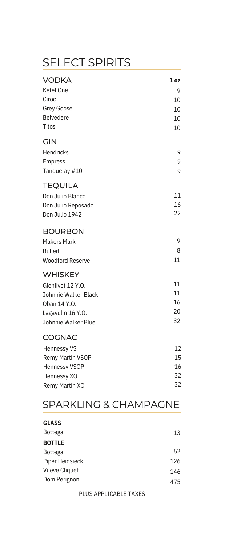# SELECT SPIRITS

| <b>VODKA</b>            | 1 <sub>oz</sub> |
|-------------------------|-----------------|
| Ketel One               | 9               |
| Ciroc                   | 10              |
| <b>Grey Goose</b>       | 10              |
| Belvedere               | 10              |
| Titos                   | 10              |
| <b>GIN</b>              |                 |
| Hendricks               | 9               |
| Empress                 | 9               |
| Tanqueray #10           | 9               |
| <b>TEQUILA</b>          |                 |
| Don Julio Blanco        | 11              |
| Don Julio Reposado      | 16              |
| Don Julio 1942          | 22              |
| <b>BOURBON</b>          |                 |
| <b>Makers Mark</b>      | 9               |
| <b>Bulleit</b>          | 8               |
| <b>Woodford Reserve</b> | 11              |
| <b>WHISKEY</b>          |                 |
| Glenlivet 12 Y.O.       | 11              |
| Johnnie Walker Black    | 11              |
| Oban 14 Y.O.            | 16              |
| Lagavulin 16 Y.O.       | 20              |
| Johnnie Walker Blue     | 32              |
| <b>COGNAC</b>           |                 |
| <b>Hennessy VS</b>      | 12              |
| Remy Martin VSOP        | 15              |
| <b>Hennessy VSOP</b>    | 16              |
| Hennessy XO             | 32              |
| Remy Martin XO          | 32              |

## SPARKLING & CHAMPAGNE

| <b>GLASS</b>         |     |
|----------------------|-----|
| <b>Bottega</b>       | 13  |
| <b>BOTTLE</b>        |     |
| <b>Bottega</b>       | 52  |
| Piper Heidsieck      | 126 |
| <b>Vueve Cliquet</b> | 146 |
| Dom Perignon         | 475 |
|                      |     |

#### PLUS APPLICABLE TAXES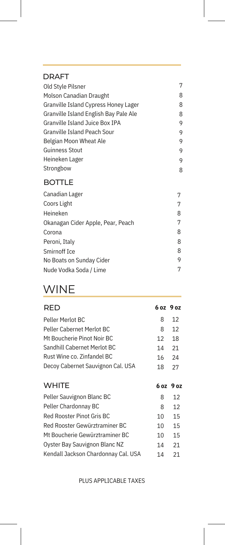### DRAFT

| Old Style Pilsner                     | 7 |
|---------------------------------------|---|
| Molson Canadian Draught               | 8 |
| Granville Island Cypress Honey Lager  | 8 |
| Granville Island English Bay Pale Ale | 8 |
| Granville Island Juice Box IPA        | 9 |
| Granville Island Peach Sour           | 9 |
| Belgian Moon Wheat Ale                | 9 |
| Guinness Stout                        | 9 |
| Heineken Lager                        | 9 |
| Strongbow                             | 8 |
|                                       |   |

## BOTTLE

| Canadian Lager                    |   |
|-----------------------------------|---|
| Coors Light                       | 7 |
| Heineken                          | 8 |
| Okanagan Cider Apple, Pear, Peach | 7 |
| Corona                            | 8 |
| Peroni, Italy                     | 8 |
| Smirnoff Ice                      | 8 |
| No Boats on Sunday Cider          | 9 |
| Nude Vodka Soda / Lime            | 7 |
|                                   |   |

# WINE

| RED                                 | 6 oz 9 oz |    |
|-------------------------------------|-----------|----|
| Peller Merlot BC                    | 8         | 12 |
| Peller Cabernet Merlot BC           | 8         | 12 |
| Mt Boucherie Pinot Noir BC          | 12        | 18 |
| Sandhill Cabernet Merlot BC         | 14        | 21 |
| Rust Wine co. Zinfandel BC          | 16        | 24 |
| Decoy Cabernet Sauvignon Cal. USA   | 18        | 27 |
|                                     |           |    |
| <b>WHITE</b>                        | 6 oz 9 oz |    |
| Peller Sauvignon Blanc BC           | 8         | 12 |
| Peller Chardonnay BC                | 8         | 12 |
| Red Rooster Pinot Gris BC           | 10        | 15 |
| Red Rooster Gewürztraminer BC       | 10        | 15 |
| Mt Boucherie Gewürztraminer BC      | 10        | 15 |
| Oyster Bay Sauvignon Blanc NZ       | 14        | 21 |
| Kendall Jackson Chardonnay Cal. USA | 14        | 21 |